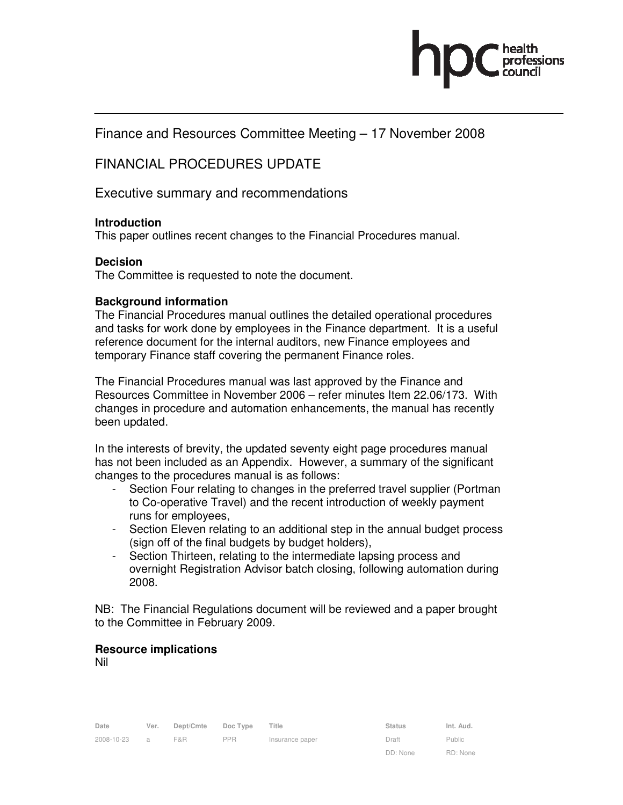

Finance and Resources Committee Meeting – 17 November 2008

# FINANCIAL PROCEDURES UPDATE

Executive summary and recommendations

## **Introduction**

This paper outlines recent changes to the Financial Procedures manual.

## **Decision**

The Committee is requested to note the document.

#### **Background information**

The Financial Procedures manual outlines the detailed operational procedures and tasks for work done by employees in the Finance department. It is a useful reference document for the internal auditors, new Finance employees and temporary Finance staff covering the permanent Finance roles.

The Financial Procedures manual was last approved by the Finance and Resources Committee in November 2006 – refer minutes Item 22.06/173. With changes in procedure and automation enhancements, the manual has recently been updated.

In the interests of brevity, the updated seventy eight page procedures manual has not been included as an Appendix. However, a summary of the significant changes to the procedures manual is as follows:

- Section Four relating to changes in the preferred travel supplier (Portman to Co-operative Travel) and the recent introduction of weekly payment runs for employees,
- Section Eleven relating to an additional step in the annual budget process (sign off of the final budgets by budget holders),
- Section Thirteen, relating to the intermediate lapsing process and overnight Registration Advisor batch closing, following automation during 2008.

NB: The Financial Regulations document will be reviewed and a paper brought to the Committee in February 2009.

## **Resource implications**

Nil